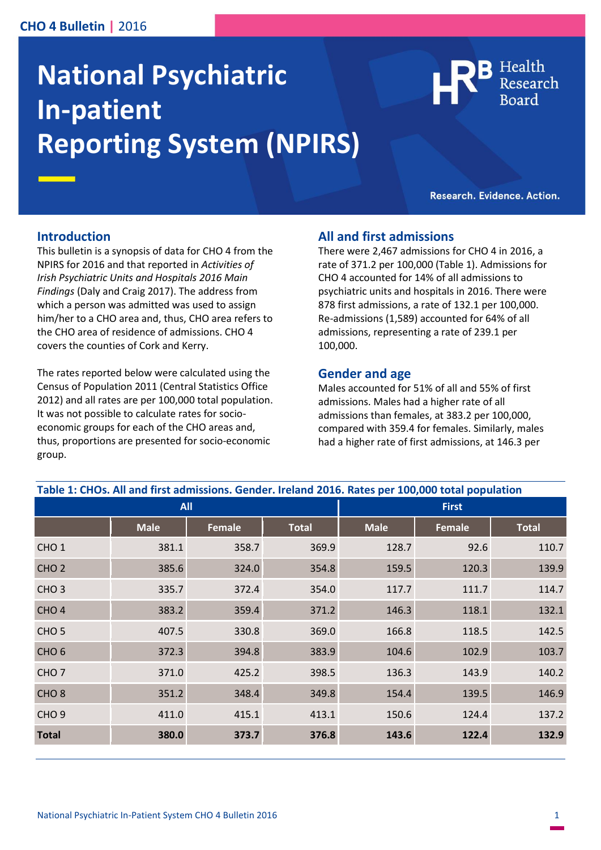## **CHO 4 Bulletin |** 2016

# **National Psychiatric In-patient Reporting System (NPIRS)**

Health

Research. Evidence. Action.

#### **Introduction**

This bulletin is a synopsis of data for CHO 4 from the NPIRS for 2016 and that reported in *Activities of Irish Psychiatric Units and Hospitals 2016 Main Findings* (Daly and Craig 2017). The address from which a person was admitted was used to assign him/her to a CHO area and, thus, CHO area refers to the CHO area of residence of admissions. CHO 4 covers the counties of Cork and Kerry.

The rates reported below were calculated using the Census of Population 2011 (Central Statistics Office 2012) and all rates are per 100,000 total population. It was not possible to calculate rates for socioeconomic groups for each of the CHO areas and, thus, proportions are presented for socio-economic group.

#### **All and first admissions**

There were 2,467 admissions for CHO 4 in 2016, a rate of 371.2 per 100,000 (Table 1). Admissions for CHO 4 accounted for 14% of all admissions to psychiatric units and hospitals in 2016. There were 878 first admissions, a rate of 132.1 per 100,000. Re-admissions (1,589) accounted for 64% of all admissions, representing a rate of 239.1 per 100,000.

#### **Gender and age**

Males accounted for 51% of all and 55% of first admissions. Males had a higher rate of all admissions than females, at 383.2 per 100,000, compared with 359.4 for females. Similarly, males had a higher rate of first admissions, at 146.3 per

| <b>All</b>       |             |        |              | <b>First</b> |        |              |
|------------------|-------------|--------|--------------|--------------|--------|--------------|
|                  | <b>Male</b> | Female | <b>Total</b> | <b>Male</b>  | Female | <b>Total</b> |
| CHO <sub>1</sub> | 381.1       | 358.7  | 369.9        | 128.7        | 92.6   | 110.7        |
| CHO <sub>2</sub> | 385.6       | 324.0  | 354.8        | 159.5        | 120.3  | 139.9        |
| CHO <sub>3</sub> | 335.7       | 372.4  | 354.0        | 117.7        | 111.7  | 114.7        |
| CHO <sub>4</sub> | 383.2       | 359.4  | 371.2        | 146.3        | 118.1  | 132.1        |
| CHO <sub>5</sub> | 407.5       | 330.8  | 369.0        | 166.8        | 118.5  | 142.5        |
| CHO <sub>6</sub> | 372.3       | 394.8  | 383.9        | 104.6        | 102.9  | 103.7        |
| CHO <sub>7</sub> | 371.0       | 425.2  | 398.5        | 136.3        | 143.9  | 140.2        |
| CHO <sub>8</sub> | 351.2       | 348.4  | 349.8        | 154.4        | 139.5  | 146.9        |
| CHO <sub>9</sub> | 411.0       | 415.1  | 413.1        | 150.6        | 124.4  | 137.2        |
| <b>Total</b>     | 380.0       | 373.7  | 376.8        | 143.6        | 122.4  | 132.9        |

**Table 1: CHOs. All and first admissions. Gender. Ireland 2016. Rates per 100,000 total population**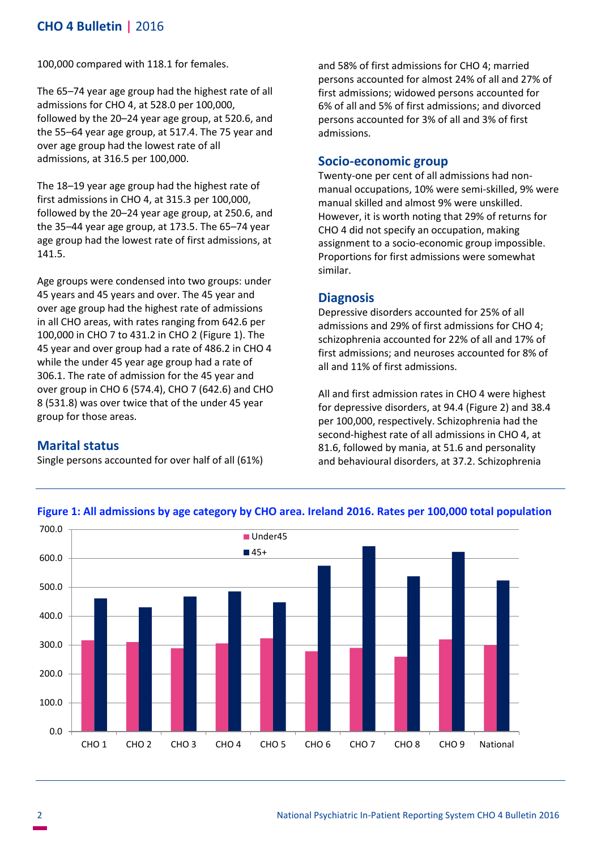# **CHO 4 Bulletin |** 2016

100,000 compared with 118.1 for females.

The 65–74 year age group had the highest rate of all admissions for CHO 4, at 528.0 per 100,000, followed by the 20–24 year age group, at 520.6, and the 55–64 year age group, at 517.4. The 75 year and over age group had the lowest rate of all admissions, at 316.5 per 100,000.

The 18–19 year age group had the highest rate of first admissions in CHO 4, at 315.3 per 100,000, followed by the 20–24 year age group, at 250.6, and the 35–44 year age group, at 173.5. The 65–74 year age group had the lowest rate of first admissions, at 141.5.

Age groups were condensed into two groups: under 45 years and 45 years and over. The 45 year and over age group had the highest rate of admissions in all CHO areas, with rates ranging from 642.6 per 100,000 in CHO 7 to 431.2 in CHO 2 (Figure 1). The 45 year and over group had a rate of 486.2 in CHO 4 while the under 45 year age group had a rate of 306.1. The rate of admission for the 45 year and over group in CHO 6 (574.4), CHO 7 (642.6) and CHO 8 (531.8) was over twice that of the under 45 year group for those areas.

#### **Marital status**

Single persons accounted for over half of all (61%)

and 58% of first admissions for CHO 4; married persons accounted for almost 24% of all and 27% of first admissions; widowed persons accounted for 6% of all and 5% of first admissions; and divorced persons accounted for 3% of all and 3% of first admissions.

#### **Socio-economic group**

Twenty-one per cent of all admissions had nonmanual occupations, 10% were semi-skilled, 9% were manual skilled and almost 9% were unskilled. However, it is worth noting that 29% of returns for CHO 4 did not specify an occupation, making assignment to a socio-economic group impossible. Proportions for first admissions were somewhat similar.

#### **Diagnosis**

Depressive disorders accounted for 25% of all admissions and 29% of first admissions for CHO 4; schizophrenia accounted for 22% of all and 17% of first admissions; and neuroses accounted for 8% of all and 11% of first admissions.

All and first admission rates in CHO 4 were highest for depressive disorders, at 94.4 (Figure 2) and 38.4 per 100,000, respectively. Schizophrenia had the second-highest rate of all admissions in CHO 4, at 81.6, followed by mania, at 51.6 and personality and behavioural disorders, at 37.2. Schizophrenia



#### **Figure 1: All admissions by age category by CHO area. Ireland 2016. Rates per 100,000 total population**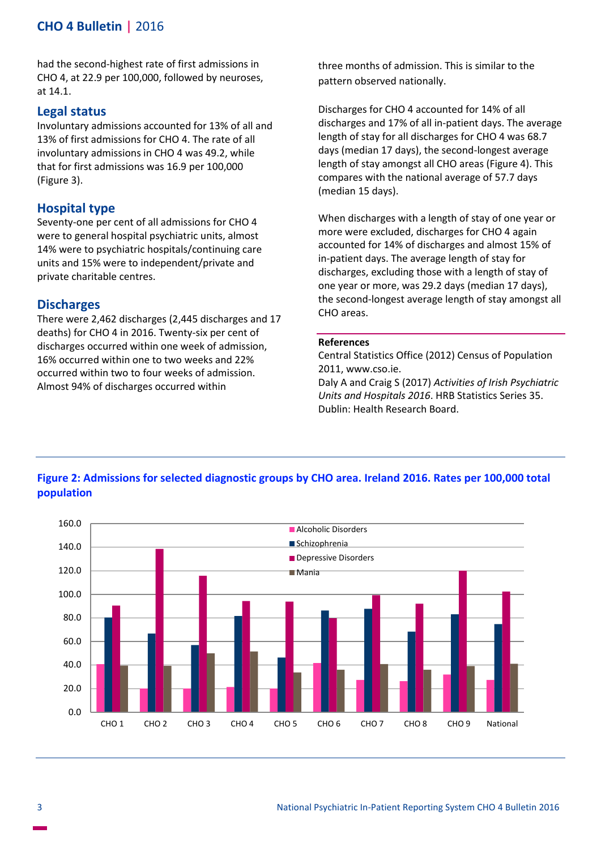# **CHO 4 Bulletin |** 2016

had the second-highest rate of first admissions in CHO 4, at 22.9 per 100,000, followed by neuroses, at 14.1.

#### **Legal status**

Involuntary admissions accounted for 13% of all and 13% of first admissions for CHO 4. The rate of all involuntary admissions in CHO 4 was 49.2, while that for first admissions was 16.9 per 100,000 (Figure 3).

#### **Hospital type**

Seventy-one per cent of all admissions for CHO 4 were to general hospital psychiatric units, almost 14% were to psychiatric hospitals/continuing care units and 15% were to independent/private and private charitable centres.

#### **Discharges**

There were 2,462 discharges (2,445 discharges and 17 deaths) for CHO 4 in 2016. Twenty-six per cent of discharges occurred within one week of admission, 16% occurred within one to two weeks and 22% occurred within two to four weeks of admission. Almost 94% of discharges occurred within

three months of admission. This is similar to the pattern observed nationally.

Discharges for CHO 4 accounted for 14% of all discharges and 17% of all in-patient days. The average length of stay for all discharges for CHO 4 was 68.7 days (median 17 days), the second-longest average length of stay amongst all CHO areas (Figure 4). This compares with the national average of 57.7 days (median 15 days).

When discharges with a length of stay of one year or more were excluded, discharges for CHO 4 again accounted for 14% of discharges and almost 15% of in-patient days. The average length of stay for discharges, excluding those with a length of stay of one year or more, was 29.2 days (median 17 days), the second-longest average length of stay amongst all CHO areas.

#### **References**

Central Statistics Office (2012) Census of Population 2011, www.cso.ie.

Daly A and Craig S (2017) *Activities of Irish Psychiatric Units and Hospitals 2016*. HRB Statistics Series 35. Dublin: Health Research Board.



## **Figure 2: Admissions for selected diagnostic groups by CHO area. Ireland 2016. Rates per 100,000 total population**